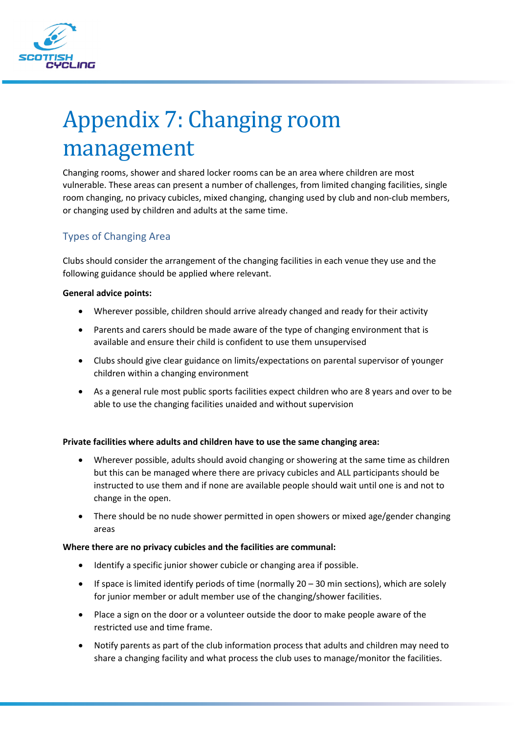

# Appendix 7: Changing room management

Changing rooms, shower and shared locker rooms can be an area where children are most vulnerable. These areas can present a number of challenges, from limited changing facilities, single room changing, no privacy cubicles, mixed changing, changing used by club and non-club members, or changing used by children and adults at the same time.

### Types of Changing Area

Clubs should consider the arrangement of the changing facilities in each venue they use and the following guidance should be applied where relevant.

#### **General advice points:**

- Wherever possible, children should arrive already changed and ready for their activity
- Parents and carers should be made aware of the type of changing environment that is available and ensure their child is confident to use them unsupervised
- Clubs should give clear guidance on limits/expectations on parental supervisor of younger children within a changing environment
- As a general rule most public sports facilities expect children who are 8 years and over to be able to use the changing facilities unaided and without supervision

#### **Private facilities where adults and children have to use the same changing area:**

- Wherever possible, adults should avoid changing or showering at the same time as children but this can be managed where there are privacy cubicles and ALL participants should be instructed to use them and if none are available people should wait until one is and not to change in the open.
- There should be no nude shower permitted in open showers or mixed age/gender changing areas

#### **Where there are no privacy cubicles and the facilities are communal:**

- Identify a specific junior shower cubicle or changing area if possible.
- If space is limited identify periods of time (normally 20 30 min sections), which are solely for junior member or adult member use of the changing/shower facilities.
- Place a sign on the door or a volunteer outside the door to make people aware of the restricted use and time frame.
- Notify parents as part of the club information process that adults and children may need to share a changing facility and what process the club uses to manage/monitor the facilities.